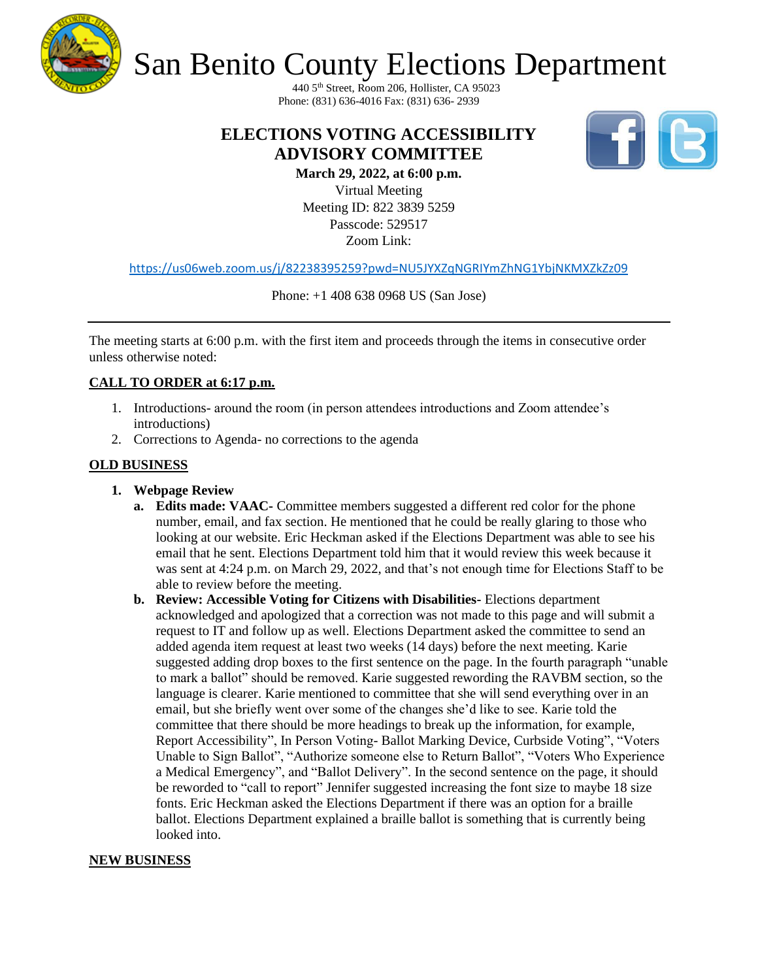

# San Benito County Elections Department

440 5th Street, Room 206, Hollister, CA 95023 Phone: (831) 636-4016 Fax: (831) 636- 2939

# **ELECTIONS VOTING ACCESSIBILITY ADVISORY COMMITTEE**



**March 29, 2022, at 6:00 p.m.** Virtual Meeting Meeting ID: 822 3839 5259 Passcode: 529517 Zoom Link:

<https://us06web.zoom.us/j/82238395259?pwd=NU5JYXZqNGRIYmZhNG1YbjNKMXZkZz09>

Phone: +1 408 638 0968 US (San Jose)

The meeting starts at 6:00 p.m. with the first item and proceeds through the items in consecutive order unless otherwise noted:

#### **CALL TO ORDER at 6:17 p.m.**

- 1. Introductions- around the room (in person attendees introductions and Zoom attendee's introductions)
- 2. Corrections to Agenda- no corrections to the agenda

#### **OLD BUSINESS**

- **1. Webpage Review**
	- **a. Edits made: VAAC-** Committee members suggested a different red color for the phone number, email, and fax section. He mentioned that he could be really glaring to those who looking at our website. Eric Heckman asked if the Elections Department was able to see his email that he sent. Elections Department told him that it would review this week because it was sent at 4:24 p.m. on March 29, 2022, and that's not enough time for Elections Staff to be able to review before the meeting.
	- **b. Review: Accessible Voting for Citizens with Disabilities-** Elections department acknowledged and apologized that a correction was not made to this page and will submit a request to IT and follow up as well. Elections Department asked the committee to send an added agenda item request at least two weeks (14 days) before the next meeting. Karie suggested adding drop boxes to the first sentence on the page. In the fourth paragraph "unable to mark a ballot" should be removed. Karie suggested rewording the RAVBM section, so the language is clearer. Karie mentioned to committee that she will send everything over in an email, but she briefly went over some of the changes she'd like to see. Karie told the committee that there should be more headings to break up the information, for example, Report Accessibility", In Person Voting- Ballot Marking Device, Curbside Voting", "Voters Unable to Sign Ballot", "Authorize someone else to Return Ballot", "Voters Who Experience a Medical Emergency", and "Ballot Delivery". In the second sentence on the page, it should be reworded to "call to report" Jennifer suggested increasing the font size to maybe 18 size fonts. Eric Heckman asked the Elections Department if there was an option for a braille ballot. Elections Department explained a braille ballot is something that is currently being looked into.

#### **NEW BUSINESS**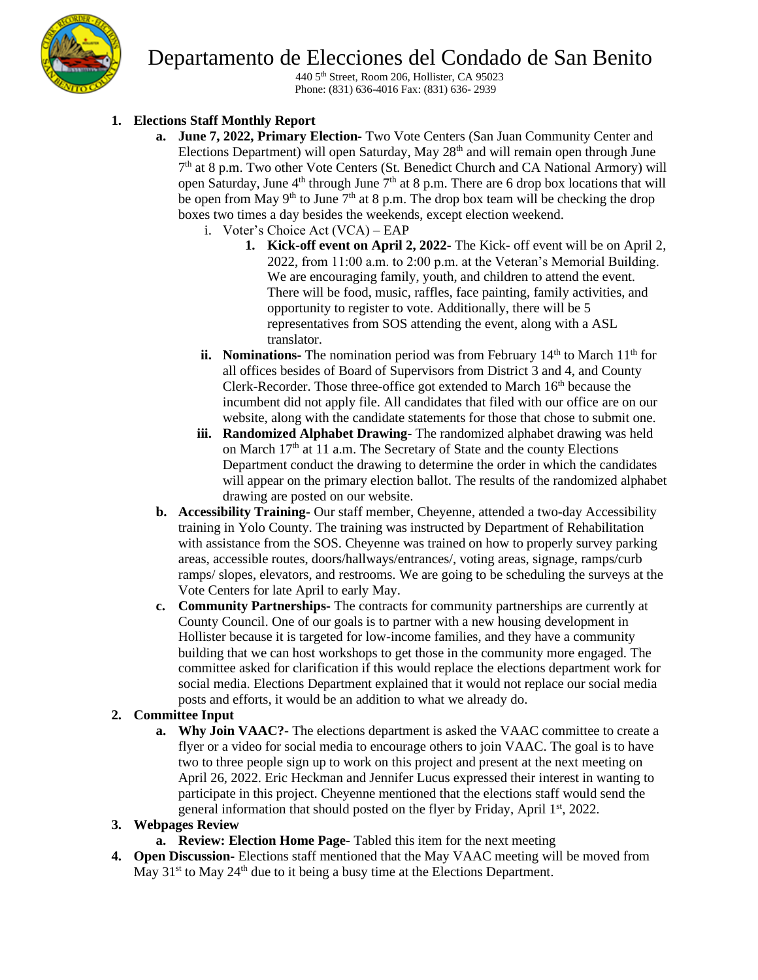# Departamento de Elecciones del Condado de San Benito



440 5th Street, Room 206, Hollister, CA 95023 Phone: (831) 636-4016 Fax: (831) 636- 2939

# **1. Elections Staff Monthly Report**

- **a. June 7, 2022, Primary Election-** Two Vote Centers (San Juan Community Center and Elections Department) will open Saturday, May 28<sup>th</sup> and will remain open through June 7<sup>th</sup> at 8 p.m. Two other Vote Centers (St. Benedict Church and CA National Armory) will open Saturday, June 4<sup>th</sup> through June 7<sup>th</sup> at 8 p.m. There are 6 drop box locations that will be open from May 9<sup>th</sup> to June  $7<sup>th</sup>$  at 8 p.m. The drop box team will be checking the drop boxes two times a day besides the weekends, except election weekend.
	- i. Voter's Choice Act (VCA) EAP
		- **1. Kick-off event on April 2, 2022-** The Kick- off event will be on April 2, 2022, from 11:00 a.m. to 2:00 p.m. at the Veteran's Memorial Building. We are encouraging family, youth, and children to attend the event. There will be food, music, raffles, face painting, family activities, and opportunity to register to vote. Additionally, there will be 5 representatives from SOS attending the event, along with a ASL translator.
	- **ii. Nominations-** The nomination period was from February  $14<sup>th</sup>$  to March  $11<sup>th</sup>$  for all offices besides of Board of Supervisors from District 3 and 4, and County Clerk-Recorder. Those three-office got extended to March  $16<sup>th</sup>$  because the incumbent did not apply file. All candidates that filed with our office are on our website, along with the candidate statements for those that chose to submit one.
	- **iii. Randomized Alphabet Drawing-** The randomized alphabet drawing was held on March 17<sup>th</sup> at 11 a.m. The Secretary of State and the county Elections Department conduct the drawing to determine the order in which the candidates will appear on the primary election ballot. The results of the randomized alphabet drawing are posted on our website.
- **b. Accessibility Training-** Our staff member, Cheyenne, attended a two-day Accessibility training in Yolo County. The training was instructed by Department of Rehabilitation with assistance from the SOS. Cheyenne was trained on how to properly survey parking areas, accessible routes, doors/hallways/entrances/, voting areas, signage, ramps/curb ramps/ slopes, elevators, and restrooms. We are going to be scheduling the surveys at the Vote Centers for late April to early May.
- **c. Community Partnerships-** The contracts for community partnerships are currently at County Council. One of our goals is to partner with a new housing development in Hollister because it is targeted for low-income families, and they have a community building that we can host workshops to get those in the community more engaged. The committee asked for clarification if this would replace the elections department work for social media. Elections Department explained that it would not replace our social media posts and efforts, it would be an addition to what we already do.

## **2. Committee Input**

**a. Why Join VAAC?**- The elections department is asked the VAAC committee to create a flyer or a video for social media to encourage others to join VAAC. The goal is to have two to three people sign up to work on this project and present at the next meeting on April 26, 2022. Eric Heckman and Jennifer Lucus expressed their interest in wanting to participate in this project. Cheyenne mentioned that the elections staff would send the general information that should posted on the flyer by Friday, April  $1<sup>st</sup>$ , 2022.

## **3. Webpages Review**

- **a. Review: Election Home Page-** Tabled this item for the next meeting
- **4. Open Discussion-** Elections staff mentioned that the May VAAC meeting will be moved from May  $31<sup>st</sup>$  to May  $24<sup>th</sup>$  due to it being a busy time at the Elections Department.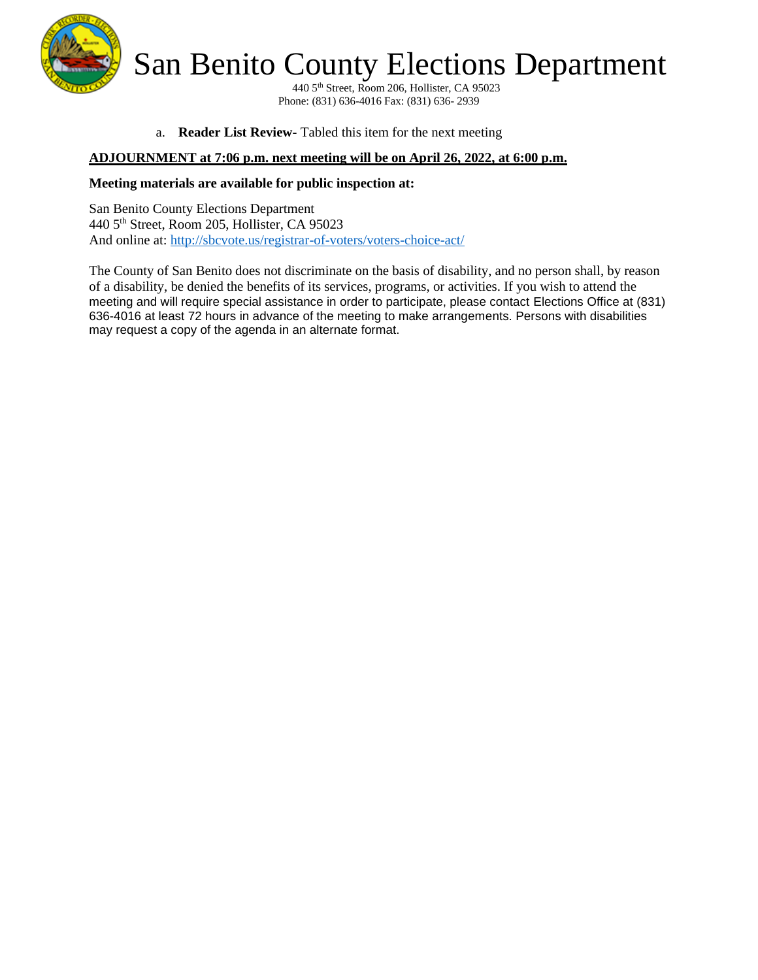

San Benito County Elections Department

440 5th Street, Room 206, Hollister, CA 95023 Phone: (831) 636-4016 Fax: (831) 636- 2939

a. **Reader List Review-** Tabled this item for the next meeting

#### **ADJOURNMENT at 7:06 p.m. next meeting will be on April 26, 2022, at 6:00 p.m.**

#### **Meeting materials are available for public inspection at:**

San Benito County Elections Department 440 5th Street, Room 205, Hollister, CA 95023 And online at:<http://sbcvote.us/registrar-of-voters/voters-choice-act/>

The County of San Benito does not discriminate on the basis of disability, and no person shall, by reason of a disability, be denied the benefits of its services, programs, or activities. If you wish to attend the meeting and will require special assistance in order to participate, please contact Elections Office at (831) 636-4016 at least 72 hours in advance of the meeting to make arrangements. Persons with disabilities may request a copy of the agenda in an alternate format.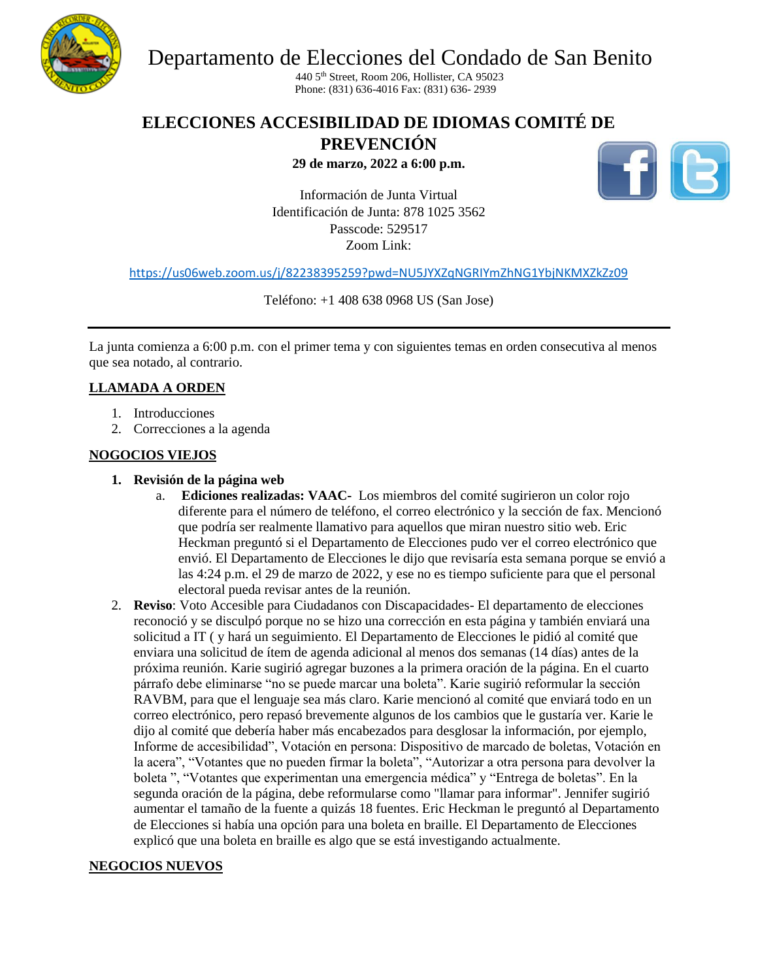

Departamento de Elecciones del Condado de San Benito

440 5th Street, Room 206, Hollister, CA 95023 Phone: (831) 636-4016 Fax: (831) 636- 2939

# **ELECCIONES ACCESIBILIDAD DE IDIOMAS COMITÉ DE**

**PREVENCIÓN** 

**29 de marzo, 2022 a 6:00 p.m.**



Información de Junta Virtual Identificación de Junta: 878 1025 3562 Passcode: 529517 Zoom Link:

<https://us06web.zoom.us/j/82238395259?pwd=NU5JYXZqNGRIYmZhNG1YbjNKMXZkZz09>

Teléfono: +1 408 638 0968 US (San Jose)

La junta comienza a 6:00 p.m. con el primer tema y con siguientes temas en orden consecutiva al menos que sea notado, al contrario.

## **LLAMADA A ORDEN**

- 1. Introducciones
- 2. Correcciones a la agenda

## **NOGOCIOS VIEJOS**

- **1. Revisión de la página web**
	- a. **Ediciones realizadas: VAAC-** Los miembros del comité sugirieron un color rojo diferente para el número de teléfono, el correo electrónico y la sección de fax. Mencionó que podría ser realmente llamativo para aquellos que miran nuestro sitio web. Eric Heckman preguntó si el Departamento de Elecciones pudo ver el correo electrónico que envió. El Departamento de Elecciones le dijo que revisaría esta semana porque se envió a las 4:24 p.m. el 29 de marzo de 2022, y ese no es tiempo suficiente para que el personal electoral pueda revisar antes de la reunión.
- 2. **Reviso**: Voto Accesible para Ciudadanos con Discapacidades- El departamento de elecciones reconoció y se disculpó porque no se hizo una corrección en esta página y también enviará una solicitud a IT ( y hará un seguimiento. El Departamento de Elecciones le pidió al comité que enviara una solicitud de ítem de agenda adicional al menos dos semanas (14 días) antes de la próxima reunión. Karie sugirió agregar buzones a la primera oración de la página. En el cuarto párrafo debe eliminarse "no se puede marcar una boleta". Karie sugirió reformular la sección RAVBM, para que el lenguaje sea más claro. Karie mencionó al comité que enviará todo en un correo electrónico, pero repasó brevemente algunos de los cambios que le gustaría ver. Karie le dijo al comité que debería haber más encabezados para desglosar la información, por ejemplo, Informe de accesibilidad", Votación en persona: Dispositivo de marcado de boletas, Votación en la acera", "Votantes que no pueden firmar la boleta", "Autorizar a otra persona para devolver la boleta ", "Votantes que experimentan una emergencia médica" y "Entrega de boletas". En la segunda oración de la página, debe reformularse como "llamar para informar". Jennifer sugirió aumentar el tamaño de la fuente a quizás 18 fuentes. Eric Heckman le preguntó al Departamento de Elecciones si había una opción para una boleta en braille. El Departamento de Elecciones explicó que una boleta en braille es algo que se está investigando actualmente.

#### **NEGOCIOS NUEVOS**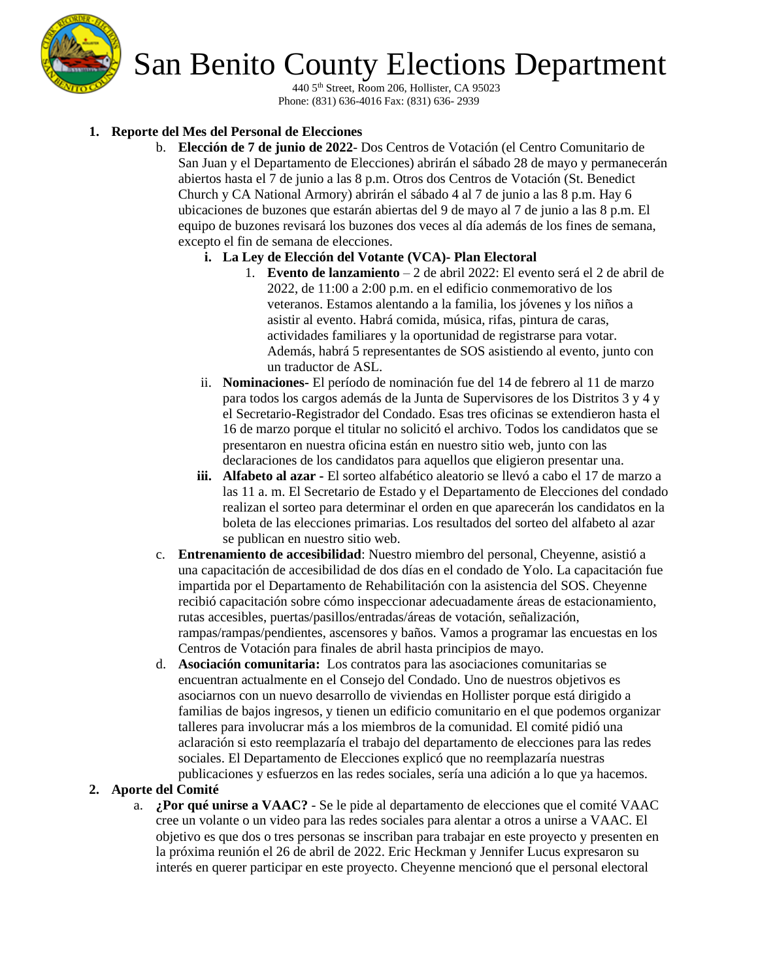

# San Benito County Elections Department

440 5th Street, Room 206, Hollister, CA 95023 Phone: (831) 636-4016 Fax: (831) 636- 2939

## **1. Reporte del Mes del Personal de Elecciones**

- b. **Elección de 7 de junio de 2022** Dos Centros de Votación (el Centro Comunitario de San Juan y el Departamento de Elecciones) abrirán el sábado 28 de mayo y permanecerán abiertos hasta el 7 de junio a las 8 p.m. Otros dos Centros de Votación (St. Benedict Church y CA National Armory) abrirán el sábado 4 al 7 de junio a las 8 p.m. Hay 6 ubicaciones de buzones que estarán abiertas del 9 de mayo al 7 de junio a las 8 p.m. El equipo de buzones revisará los buzones dos veces al día además de los fines de semana, excepto el fin de semana de elecciones.
	- **i. La Ley de Elección del Votante (VCA)- Plan Electoral**
		- 1. **Evento de lanzamiento** 2 de abril 2022: El evento será el 2 de abril de 2022, de 11:00 a 2:00 p.m. en el edificio conmemorativo de los veteranos. Estamos alentando a la familia, los jóvenes y los niños a asistir al evento. Habrá comida, música, rifas, pintura de caras, actividades familiares y la oportunidad de registrarse para votar. Además, habrá 5 representantes de SOS asistiendo al evento, junto con un traductor de ASL.
	- ii. **Nominaciones-** El período de nominación fue del 14 de febrero al 11 de marzo para todos los cargos además de la Junta de Supervisores de los Distritos 3 y 4 y el Secretario-Registrador del Condado. Esas tres oficinas se extendieron hasta el 16 de marzo porque el titular no solicitó el archivo. Todos los candidatos que se presentaron en nuestra oficina están en nuestro sitio web, junto con las declaraciones de los candidatos para aquellos que eligieron presentar una.
	- **iii. Alfabeto al azar -** El sorteo alfabético aleatorio se llevó a cabo el 17 de marzo a las 11 a. m. El Secretario de Estado y el Departamento de Elecciones del condado realizan el sorteo para determinar el orden en que aparecerán los candidatos en la boleta de las elecciones primarias. Los resultados del sorteo del alfabeto al azar se publican en nuestro sitio web.
- c. **Entrenamiento de accesibilidad**: Nuestro miembro del personal, Cheyenne, asistió a una capacitación de accesibilidad de dos días en el condado de Yolo. La capacitación fue impartida por el Departamento de Rehabilitación con la asistencia del SOS. Cheyenne recibió capacitación sobre cómo inspeccionar adecuadamente áreas de estacionamiento, rutas accesibles, puertas/pasillos/entradas/áreas de votación, señalización, rampas/rampas/pendientes, ascensores y baños. Vamos a programar las encuestas en los Centros de Votación para finales de abril hasta principios de mayo.
- d. **Asociación comunitaria:** Los contratos para las asociaciones comunitarias se encuentran actualmente en el Consejo del Condado. Uno de nuestros objetivos es asociarnos con un nuevo desarrollo de viviendas en Hollister porque está dirigido a familias de bajos ingresos, y tienen un edificio comunitario en el que podemos organizar talleres para involucrar más a los miembros de la comunidad. El comité pidió una aclaración si esto reemplazaría el trabajo del departamento de elecciones para las redes sociales. El Departamento de Elecciones explicó que no reemplazaría nuestras publicaciones y esfuerzos en las redes sociales, sería una adición a lo que ya hacemos.

## **2. Aporte del Comité**

a. **¿Por qué unirse a VAAC?** - Se le pide al departamento de elecciones que el comité VAAC cree un volante o un video para las redes sociales para alentar a otros a unirse a VAAC. El objetivo es que dos o tres personas se inscriban para trabajar en este proyecto y presenten en la próxima reunión el 26 de abril de 2022. Eric Heckman y Jennifer Lucus expresaron su interés en querer participar en este proyecto. Cheyenne mencionó que el personal electoral